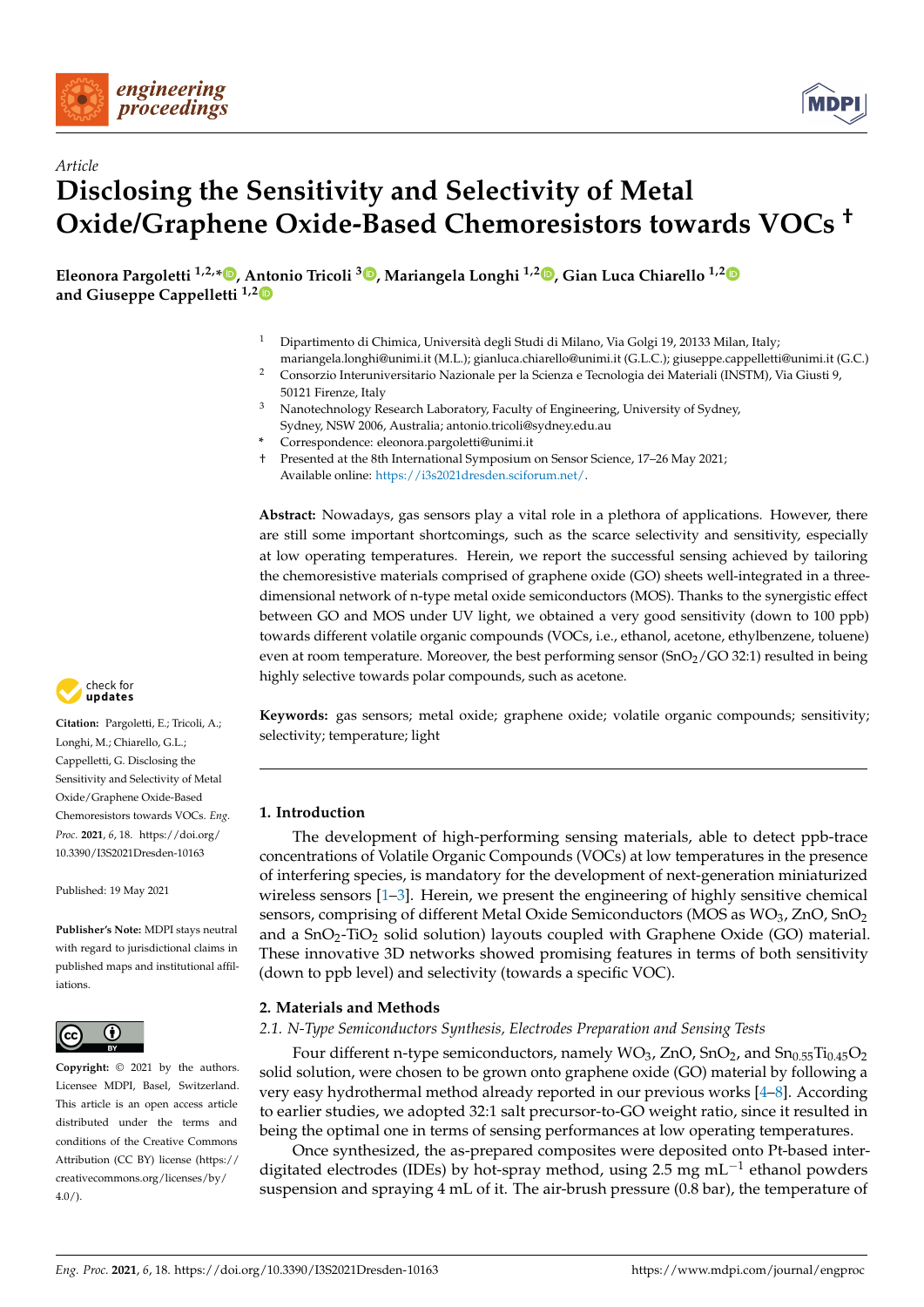



# *Article* **Disclosing the Sensitivity and Selectivity of Metal Oxide/Graphene Oxide-Based Chemoresistors towards VOCs †**

**Eleonora Pargoletti 1,2,\* [,](https://orcid.org/0000-0003-4385-7461) Antonio Tricoli <sup>3</sup> [,](https://orcid.org/0000-0003-4964-2111) Mariangela Longhi 1,[2](https://orcid.org/0000-0002-0014-3576) , Gian Luca Chiarello 1,[2](https://orcid.org/0000-0003-4550-175X) and Giuseppe Cappelletti 1,[2](https://orcid.org/0000-0002-1260-2979)**

- <sup>1</sup> Dipartimento di Chimica, Università degli Studi di Milano, Via Golgi 19, 20133 Milan, Italy; mariangela.longhi@unimi.it (M.L.); gianluca.chiarello@unimi.it (G.L.C.); giuseppe.cappelletti@unimi.it (G.C.)
- <sup>2</sup> Consorzio Interuniversitario Nazionale per la Scienza e Tecnologia dei Materiali (INSTM), Via Giusti 9, 50121 Firenze, Italy
- <sup>3</sup> Nanotechnology Research Laboratory, Faculty of Engineering, University of Sydney, Sydney, NSW 2006, Australia; antonio.tricoli@sydney.edu.au
- **\*** Correspondence: eleonora.pargoletti@unimi.it
- † Presented at the 8th International Symposium on Sensor Science, 17–26 May 2021; Available online: [https://i3s2021dresden.sciforum.net/.](https://i3s2021dresden.sciforum.net/)

**Abstract:** Nowadays, gas sensors play a vital role in a plethora of applications. However, there are still some important shortcomings, such as the scarce selectivity and sensitivity, especially at low operating temperatures. Herein, we report the successful sensing achieved by tailoring the chemoresistive materials comprised of graphene oxide (GO) sheets well-integrated in a threedimensional network of n-type metal oxide semiconductors (MOS). Thanks to the synergistic effect between GO and MOS under UV light, we obtained a very good sensitivity (down to 100 ppb) towards different volatile organic compounds (VOCs, i.e., ethanol, acetone, ethylbenzene, toluene) even at room temperature. Moreover, the best performing sensor  $(SnO<sub>2</sub>/GO 32:1)$  resulted in being highly selective towards polar compounds, such as acetone.

**Keywords:** gas sensors; metal oxide; graphene oxide; volatile organic compounds; sensitivity; selectivity; temperature; light

# **1. Introduction**

The development of high-performing sensing materials, able to detect ppb-trace concentrations of Volatile Organic Compounds (VOCs) at low temperatures in the presence of interfering species, is mandatory for the development of next-generation miniaturized wireless sensors [\[1–](#page-3-0)[3\]](#page-3-1). Herein, we present the engineering of highly sensitive chemical sensors, comprising of different Metal Oxide Semiconductors (MOS as  $WO_3$ , ZnO, SnO<sub>2</sub> and a  $SnO<sub>2</sub>-TiO<sub>2</sub>$  solid solution) layouts coupled with Graphene Oxide (GO) material. These innovative 3D networks showed promising features in terms of both sensitivity (down to ppb level) and selectivity (towards a specific VOC).

# **2. Materials and Methods**

# *2.1. N-Type Semiconductors Synthesis, Electrodes Preparation and Sensing Tests*

Four different n-type semiconductors, namely  $WO_3$ , ZnO, SnO<sub>2</sub>, and Sn<sub>0.55</sub>T<sub>i0.45</sub>O<sub>2</sub> solid solution, were chosen to be grown onto graphene oxide (GO) material by following a very easy hydrothermal method already reported in our previous works [\[4–](#page-3-2)[8\]](#page-3-3). According to earlier studies, we adopted 32:1 salt precursor-to-GO weight ratio, since it resulted in being the optimal one in terms of sensing performances at low operating temperatures.

Once synthesized, the as-prepared composites were deposited onto Pt-based interdigitated electrodes (IDEs) by hot-spray method, using 2.5 mg mL−<sup>1</sup> ethanol powders suspension and spraying 4 mL of it. The air-brush pressure (0.8 bar), the temperature of



**Citation:** Pargoletti, E.; Tricoli, A.; Longhi, M.; Chiarello, G.L.; Cappelletti, G. Disclosing the Sensitivity and Selectivity of Metal Oxide/Graphene Oxide-Based Chemoresistors towards VOCs. *Eng. Proc.* **2021**, *6*, 18. [https://doi.org/](https://doi.org/10.3390/I3S2021Dresden-10163) [10.3390/I3S2021Dresden-10163](https://doi.org/10.3390/I3S2021Dresden-10163)

Published: 19 May 2021

**Publisher's Note:** MDPI stays neutral with regard to jurisdictional claims in published maps and institutional affiliations.



**Copyright:** © 2021 by the authors. Licensee MDPI, Basel, Switzerland. This article is an open access article distributed under the terms and conditions of the Creative Commons Attribution (CC BY) license (https:/[/](https://creativecommons.org/licenses/by/4.0/) [creativecommons.org/licenses/by/](https://creativecommons.org/licenses/by/4.0/)  $4.0/$ ).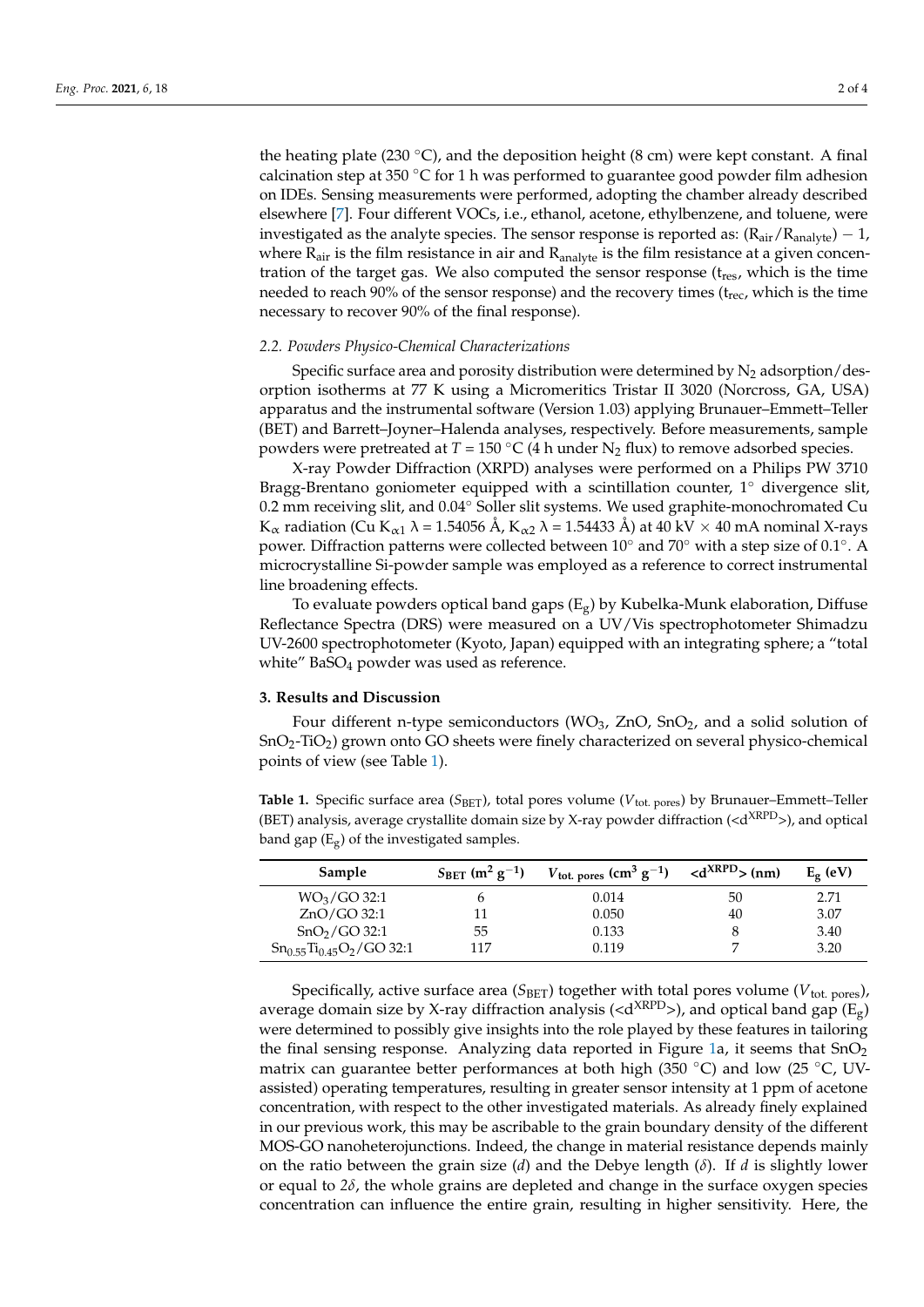the heating plate (230 °C), and the deposition height (8 cm) were kept constant. A final calcination step at 350  $\degree$ C for 1 h was performed to guarantee good powder film adhesion on IDEs. Sensing measurements were performed, adopting the chamber already described elsewhere [\[7\]](#page-3-4). Four different VOCs, i.e., ethanol, acetone, ethylbenzene, and toluene, were investigated as the analyte species. The sensor response is reported as:  $(R_{air}/R_{analyte}) - 1$ , where  $R_{air}$  is the film resistance in air and  $R_{analyte}$  is the film resistance at a given concentration of the target gas. We also computed the sensor response  $(t_{res},$  which is the time needed to reach 90% of the sensor response) and the recovery times ( $t_{rec}$ , which is the time necessary to recover 90% of the final response).

#### *2.2. Powders Physico-Chemical Characterizations*

Specific surface area and porosity distribution were determined by  $N_2$  adsorption/desorption isotherms at 77 K using a Micromeritics Tristar II 3020 (Norcross, GA, USA) apparatus and the instrumental software (Version 1.03) applying Brunauer–Emmett–Teller (BET) and Barrett–Joyner–Halenda analyses, respectively. Before measurements, sample powders were pretreated at  $T = 150$  °C (4 h under N<sub>2</sub> flux) to remove adsorbed species.

X-ray Powder Diffraction (XRPD) analyses were performed on a Philips PW 3710 Bragg-Brentano goniometer equipped with a scintillation counter, 1<sup>°</sup> divergence slit, 0.2 mm receiving slit, and 0.04◦ Soller slit systems. We used graphite-monochromated Cu K<sub>α</sub> radiation (Cu K<sub>α1</sub> λ = 1.54056 Å, K<sub>α2</sub> λ = 1.54433 Å) at 40 kV  $\times$  40 mA nominal X-rays power. Diffraction patterns were collected between 10° and 70° with a step size of 0.1°. A microcrystalline Si-powder sample was employed as a reference to correct instrumental line broadening effects.

To evaluate powders optical band gaps  $(E_{g})$  by Kubelka-Munk elaboration, Diffuse Reflectance Spectra (DRS) were measured on a UV/Vis spectrophotometer Shimadzu UV-2600 spectrophotometer (Kyoto, Japan) equipped with an integrating sphere; a "total white"  $BaSO<sub>4</sub>$  powder was used as reference.

#### **3. Results and Discussion**

Four different n-type semiconductors (WO<sub>3</sub>, ZnO, SnO<sub>2</sub>, and a solid solution of SnO2-TiO2) grown onto GO sheets were finely characterized on several physico-chemical points of view (see Table [1\)](#page-1-0).

<span id="page-1-0"></span>**Table 1.** Specific surface area ( $S<sub>BET</sub>$ ), total pores volume ( $V<sub>tot. pores</sub>$ ) by Brunauer–Emmett–Teller (BET) analysis, average crystallite domain size by X-ray powder diffraction ( $\langle d^{\rm XRPD} \rangle$ ), and optical band gap  $(E_g)$  of the investigated samples.

| Sample                          | $S_{BET}$ (m <sup>2</sup> g <sup>-1</sup> ) | $V_{\text{tot. pores}}$ (cm <sup>3</sup> g <sup>-1</sup> ) | $\langle d^{\rm XRPD} \rangle$ (nm) | $E_e$ (eV) |
|---------------------------------|---------------------------------------------|------------------------------------------------------------|-------------------------------------|------------|
| $WO_3/GO 32:1$                  |                                             | 0.014                                                      | 50                                  | 2.71       |
| $ZnO/GO$ 32:1                   |                                             | 0.050                                                      | 40                                  | 3.07       |
| SnO <sub>2</sub> /GO 32:1       | 55                                          | 0.133                                                      |                                     | 3.40       |
| $Sn_{0.55}Ti_{0.45}O_2/GO$ 32:1 | 117                                         | 0.119                                                      |                                     | 3.20       |

Specifically, active surface area (S<sub>BET</sub>) together with total pores volume (V<sub>tot. pores</sub>), average domain size by X-ray diffraction analysis (<d $XRPD$ ), and optical band gap (E<sub>g</sub>) were determined to possibly give insights into the role played by these features in tailoring the final sensing response. Analyzing data reported in Figure [1a](#page-2-0), it seems that  $SnO<sub>2</sub>$ matrix can guarantee better performances at both high (350 °C) and low (25 °C, UVassisted) operating temperatures, resulting in greater sensor intensity at 1 ppm of acetone concentration, with respect to the other investigated materials. As already finely explained in our previous work, this may be ascribable to the grain boundary density of the different MOS-GO nanoheterojunctions. Indeed, the change in material resistance depends mainly on the ratio between the grain size (*d*) and the Debye length ( $\delta$ ). If *d* is slightly lower or equal to *2δ*, the whole grains are depleted and change in the surface oxygen species concentration can influence the entire grain, resulting in higher sensitivity. Here, the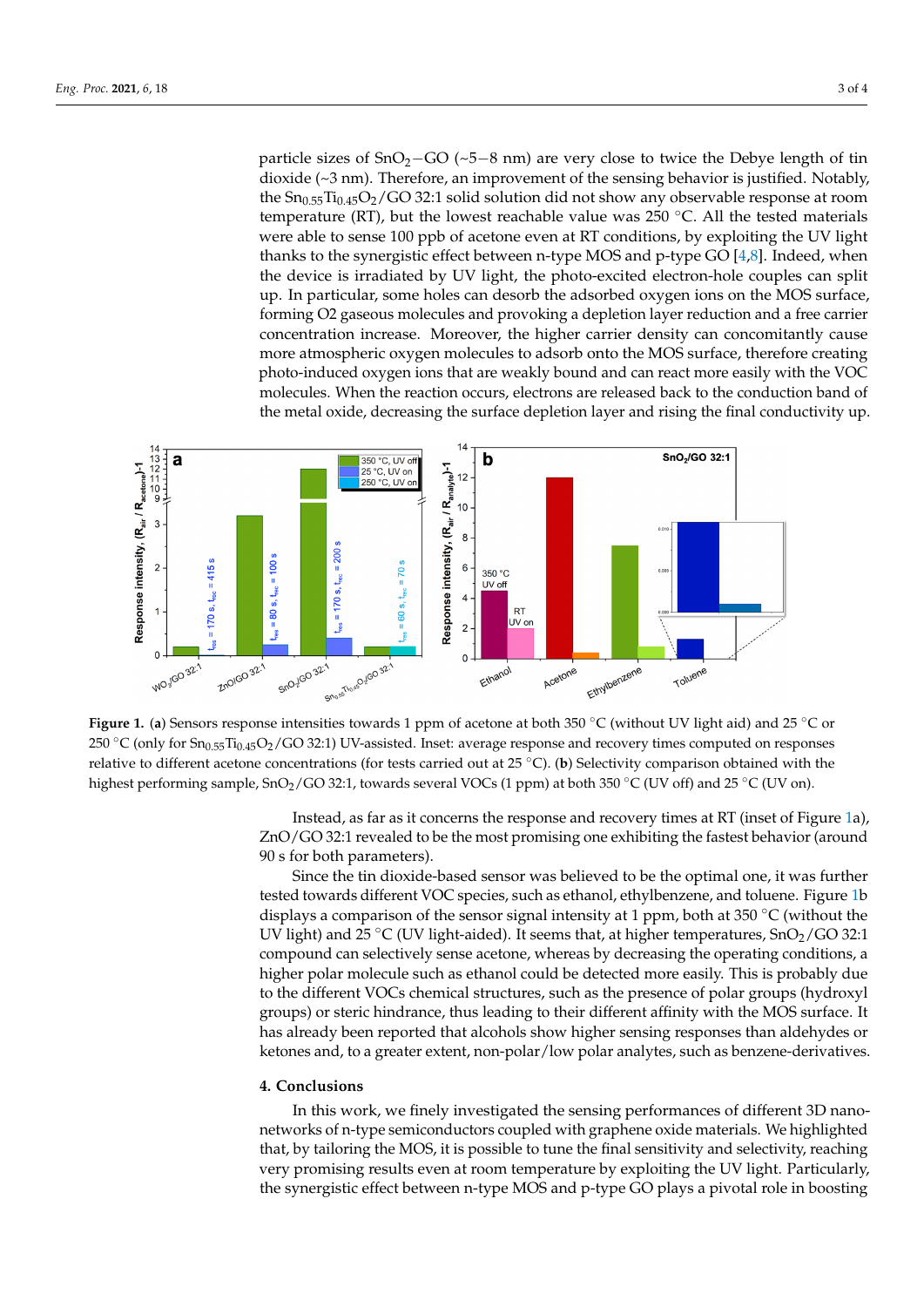particle sizes of SnO<sub>2</sub>−GO (~5−8 nm) are very close to twice the Debye length of tin dioxide (~3 nm). Therefore, an improvement of the sensing behavior is justified. Notably, the  $Sn_{0.55}Ti_{0.45}O_2/GO$  32:1 solid solution did not show any observable response at room temperature (RT), but the lowest reachable value was 250 °C. All the tested materials were able to sense 100 ppb of acetone even at RT conditions, by exploiting the UV light thanks to the synergistic effect betwee[n](#page-3-3) n-type MOS and p-type GO [4,8]. Indeed, when the device is irradiated by UV light, the photo-excited electron-hole couples can split up. In particular, some holes can desorb the adsorbed oxygen ions on the MOS surface, forming O2 gaseous molecules and provoking a depletion layer reduction and a free carrier concentration increase. Moreover, the higher carrier density can concomitantly cause more atmospheric oxygen molecules to adsorb onto the MOS surface, therefore creating photo-induced oxygen ions that are weakly bound and can react more easily with the VOC molecules. When the reaction occurs, electrons are released back to the conduction band of the metal oxide, decreasing the surface depletion layer and rising the final conductivity up.

<span id="page-2-0"></span>

Figure 1. (a) Sensors response intensities towards 1 ppm of acetone at both 350 °C (without UV light aid) and 25 °C or 250 °C (only for  $Sn_{0.55}Ti_{0.45}O_2/GO$  32:1) UV-assisted. Inset: average response and recovery times computed on responses relative to different acetone concentrations (for tests carried out at 25 °C). (b) Selectivity comparison obtained with the highest performing sample, SnO<sub>2</sub>/GO 32:1, towards several VOCs (1 ppm) at both 350 °C (UV off) and 25 °C (UV on).

Instead, as far as it concerns the response and recovery times at RT (inset of Figure [1a](#page-2-0)), ZnO/GO 32:1 revealed to be the most promising one exhibiting the fastest behavior (around 90 s for both parameters).

Since the tin dioxide-based sensor was believed to be the optimal one, it was further tested towards different VOC species, such as ethanol, ethylbenzene, and toluene. Figure 1b displays a comparison of the sensor signal intensity at 1 ppm, both at 350 °C (without the UV light) and 25 °C (UV light-aided). It seems that, at higher temperatures, SnO<sub>2</sub>/GO 32:1 compound can selectively sense acetone, whereas by decreasing the operating conditions, a higher polar molecule such as ethanol could be detected more easily. This is probably due to the different VOCs chemical structures, such as the presence of polar groups (hydroxyl groups) or steric hindrance, thus leading to their different affinity with the MOS surface. It has already been reported that alcohols show higher sensing responses than aldehydes or ketones and, to a greater extent, non-polar/low polar analytes, such as benzene-derivatives.

## **4. Conclusions**

In this work, we finely investigated the sensing performances of different 3D nanonetworks of n-type semiconductors coupled with graphene oxide materials. We highlighted that, by tailoring the MOS, it is possible to tune the final sensitivity and selectivity, reaching very promising results even at room temperature by exploiting the UV light. Particularly, the synergistic effect between n-type MOS and p-type GO plays a pivotal role in boosting